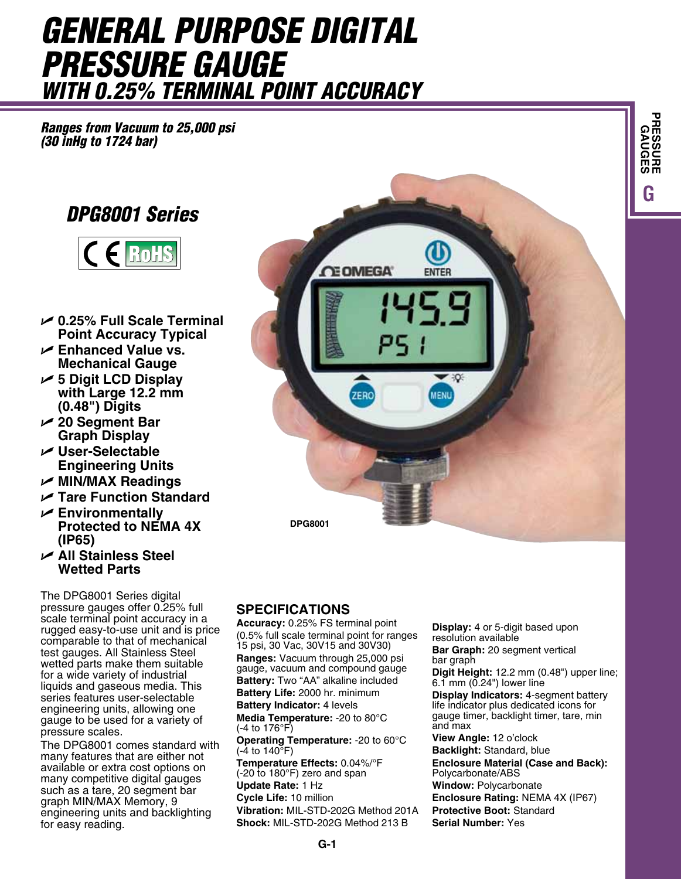# *General Purpose Digital Pressure Gauge with 0.25% Terminal Point Accuracy*

*Ranges from Vacuum to 25,000 psi (30 inHg to 1724 bar)*

# *DPG8001 Series*



- U **0.25% Full Scale Terminal Point Accuracy Typical**
- U **Enhanced Value vs. Mechanical Gauge**
- U **5 Digit LCD Display with Large 12.2 mm (0.48") Digits**
- U **20 Segment Bar Graph Display**
- U **User-Selectable Engineering Units**
- U **MIN/MAX Readings**
- U **Tare Function Standard**
- U **Environmentally Protected to NEMA 4X (IP65)**
- U **All Stainless Steel Wetted Parts**

The DPG8001 Series digital pressure gauges offer 0.25% full scale terminal point accuracy in a rugged easy-to-use unit and is price comparable to that of mechanical test gauges. All Stainless Steel wetted parts make them suitable for a wide variety of industrial liquids and gaseous media. This series features user-selectable engineering units, allowing one gauge to be used for a variety of pressure scales.

The DPG8001 comes standard with many features that are either not available or extra cost options on many competitive digital gauges such as a tare, 20 segment bar graph MIN/MAX Memory, 9 engineering units and backlighting for easy reading.



## **SPECIFICATIONS**

**Accuracy:** 0.25% FS terminal point (0.5% full scale terminal point for ranges 15 psi, 30 Vac, 30V15 and 30V30) **Ranges:** Vacuum through 25,000 psi gauge, vacuum and compound gauge **Battery:** Two "AA" alkaline included **Battery Life:** 2000 hr. minimum **Battery Indicator:** 4 levels **Media Temperature:** -20 to 80°C (-4 to 176°F) **Operating Temperature:** -20 to 60°C  $(-4 \text{ to } 140^{\circ} \text{F})$ **Temperature Effects:** 0.04%/°F (-20 to 180°F) zero and span **Update Rate:** 1 Hz **Cycle Life:** 10 million **Vibration:** MIL-STD-202G Method 201A **Shock:** MIL-STD-202G Method 213 B

**Display:** 4 or 5-digit based upon resolution available **Bar Graph:** 20 segment vertical

bar graph

**Digit Height:** 12.2 mm (0.48") upper line; 6.1 mm (0.24") lower line **Display Indicators:** 4-segment battery life indicator plus dedicated icons for gauge timer, backlight timer, tare, min and max

**GPRESSURE GAUGES**

**View Angle:** 12 o'clock **Backlight:** Standard, blue **Enclosure Material (Case and Back):** Polycarbonate/ABS **Window:** Polycarbonate **Enclosure Rating:** NEMA 4X (IP67) **Protective Boot:** Standard **Serial Number:** Yes